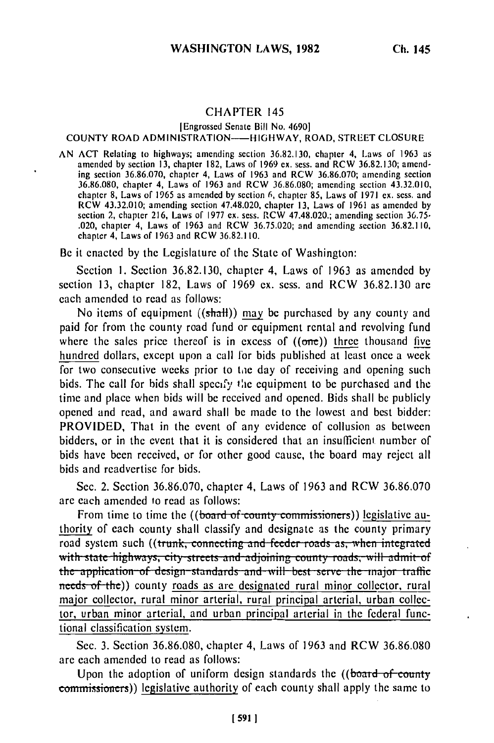## CHAPTER 145

[Engrossed Senate Bill No. 46901

## COUNTY ROAD ADMINISTRATION-HIGHWAY, ROAD, STREET CLOSURE

AN ACT Relating to highways; amending section 36.82.130, chapter 4, Laws of 1963 as amended by section 13, chapter 182, Laws of 1969 ex. sess. and RCW 36.82.130; amending section 36.86.070, chapter 4, Laws of 1963 and RCW 36.86.070; amending section 36.86.080, chapter 4, Laws of 1963 and RCW 36.86.080; amending section 43.32.010, chapter 8, Laws of 1965 as amended by section **6,** chapter 85, Laws of 1971 ex. sess. and RCW 43.32.010; amending section 47.48.020, chapter 13, Laws of 1961 as amended by section 2, chapter 216, Laws of 1977 ex. sess. RCW 47.48.020.; amending section 36.75- .020, chapter 4, Laws of 1963 and RCW 36.75.020; and amending section 36.82.110, chapter 4, Laws of 1963 and RCW 36.82.110.

Be it enacted by the Legislature of the State of Washington:

Section 1. Section 36.82.130, chapter 4, Laws of 1963 as amended by section 13, chapter 182, Laws of 1969 ex. sess. and RCW 36.82.130 are each amended to read as follows:

No items of equipment ((shall)) may be purchased by any county and paid for from the county road fund or equipment rental and revolving fund where the sales price thereof is in excess of  $((one))$  three thousand five hundred dollars, except upon a call for bids published at least once a week for two consecutive weeks prior to tne day of receiving and opening such bids. The call for bids shall specify the equipment to be purchased and the time and place when bids will be received and opened. Bids shall be publicly opened and read, and award shall be made to the lowest and best bidder: PROVIDED, That in the event of any evidence of collusion as between bidders, or in the event that it is considered that an insufficient number of bids have been received, or for other good cause, the board may reject all bids and readvertise for bids.

Sec. 2. Section 36.86.070, chapter 4, Laws of 1963 and RCW 36.86.070 are each amended to read as follows:

From time to time the ((board-of-county commissioners)) legislative authority of each county shall classify and designate as the county primary road system such ((trunk, connecting and feeder roads as, when integrated withI sate ht **g** h ll aya, ity Stlr, ets ad *ao* inn countyI : roaI I **ds,** will .UInit **U0** th state inghways, city streets and adjoining county roads, will admit of the application of design standards and will best serve the major traffic<br>needs of the)) county roads as are designated rural minor collector, rural major collector, rural minor arterial, rural principal arterial, urban collector, urban minor arterial, and urban principal arterial in the federal functional classification system.

Sec. 3. Section 36.86.080, chapter 4, Laws of 1963 and RCW 36.86.080 are each amended to read as follows:

Upon the adoption of uniform design standards the  $($  board of county commissioners)) legislative authority of each county shall apply the same to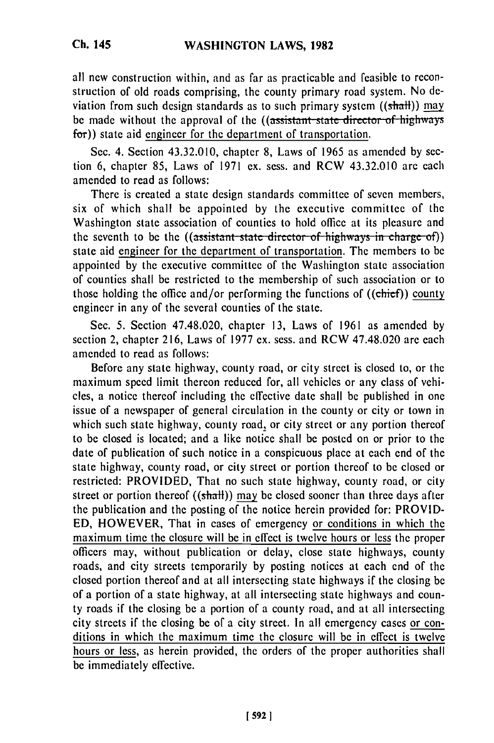all new construction within, and as far as practicable and feasible to reconstruction of old roads comprising, the county primary road system. No **de**viation from such design standards as to such primary system  $((shath))$  may be made without the approval of the ((assistant state director of highways for)) state aid engineer for the department of transportation.

Sec. 4. Section 43.32.010, chapter 8, Laws of 1965 as amended by section 6, chapter 85, Laws of 1971 ex. sess. and RCW 43.32.010 are each amended to read as follows:

There is created a state design standards committee of seven members, six of which shall be appointed by the executive committee of the Washington state association of counties to hold office at its pleasure and the seventh to be the ((assistant state director of highways in charge of)) state aid engineer for the department of transportation. The members to be appointed by the executive committee of the Washington state association of counties shall be restricted to the membership of such association or to those holding the office and/or performing the functions of  $((\text{chief}))$  county engineer in any of the several counties of the state.

Sec. 5. Section 47.48.020, chapter 13, Laws of 1961 as amended by section 2, chapter 216, Laws of 1977 ex. sess. and RCW 47.48.020 are each amended to read as follows:

Before any state highway, county road, or city street is closed to, or the maximum speed limit thereon reduced for, all vehicles or any class of vehicles, a notice thereof including the effective date shall be published in one issue of a newspaper of general circulation in the county or city or town in which such state highway, county road, or city street or any portion thereof to be closed is located; and a like notice shall be posted on or prior to the date of publication of such notice in a conspicuous place at each end of the state highway, county road, or city street or portion thereof to be closed or restricted: PROVIDED, That no such state highway, county road, or city street or portion thereof  $((shath))$  may be closed sooner than three days after the publication and the posting of the notice herein provided for: PROVID-ED, HOWEVER, That in cases of emergency or conditions in which the maximum time the closure will be in effect is twelve hours or less the proper officers may, without publication or delay, close state highways, county roads, and city streets temporarily by posting notices at each end of the closed portion thereof and at all intersecting state highways if the closing be of a portion of a state highway, at all intersecting state highways and county roads if the closing be a portion of a county road, and at all intersecting city streets if the closing be of a city street. In all emergency cases or conditions in which the maximum time the closure will be in effect is twelve hours or less, as herein provided, the orders of the proper authorities shall be immediately effective.